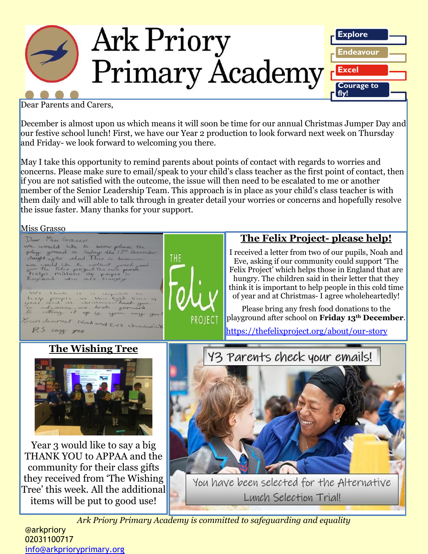

Dear Parents and Carers,

December is almost upon us which means it will soon be time for our annual Christmas Jumper Day and our festive school lunch! First, we have our Year 2 production to look forward next week on Thursday and Friday- we look forward to welcoming you there.

May I take this opportunity to remind parents about points of contact with regards to worries and concerns. Please make sure to email/speak to your child's class teacher as the first point of contact, then if you are not satisfied with the outcome, the issue will then need to be escalated to me or another member of the Senior Leadership Team. This approach is in place as your child's class teacher is with them daily and will able to talk through in greater detail your worries or concerns and hopefully resolve the issue faster. Many thanks for your support.

Miss Grasso



@arkpriory 02031100717 [info@arkprioryprimary.org](mailto:info@arkprioryprimary.org)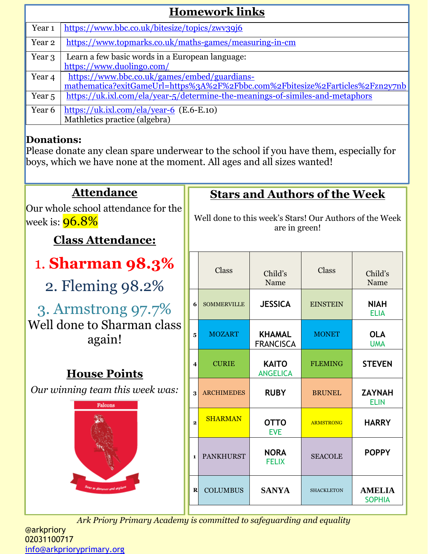| <b>Homework links</b> |                                                                               |  |  |  |
|-----------------------|-------------------------------------------------------------------------------|--|--|--|
| Year <sub>1</sub>     | https://www.bbc.co.uk/bitesize/topics/zwy39j6                                 |  |  |  |
| Year 2                | https://www.topmarks.co.uk/maths-games/measuring-in-cm                        |  |  |  |
| Year 3                | Learn a few basic words in a European language:                               |  |  |  |
|                       | https://www.duolingo.com/                                                     |  |  |  |
| Year 4                | https://www.bbc.co.uk/games/embed/guardians-                                  |  |  |  |
|                       | mathematica?exitGameUrl=https%3A%2F%2Fbbc.com%2Fbitesize%2Farticles%2Fzn2y7nb |  |  |  |
| Year <sub>5</sub>     | https://uk.ixl.com/ela/year-5/determine-the-meanings-of-similes-and-metaphors |  |  |  |
| Year 6                | https://uk.ixl.com/ela/year-6 $(E.6-E.10)$                                    |  |  |  |
|                       | Mathletics practice (algebra)                                                 |  |  |  |
|                       |                                                                               |  |  |  |

# **Donations:**

Please donate any clean spare underwear to the school if you have them, especially for boys, which we have none at the moment. All ages and all sizes wanted!

| <b>Attendance</b>                                                                              |                         | <b>Stars and Authors of the Week</b>                                     |                                   |                   |                                |
|------------------------------------------------------------------------------------------------|-------------------------|--------------------------------------------------------------------------|-----------------------------------|-------------------|--------------------------------|
| Our whole school attendance for the<br>week is: <mark>96.8%</mark><br><b>Class Attendance:</b> |                         | Well done to this week's Stars! Our Authors of the Week<br>are in green! |                                   |                   |                                |
| <b>1. Sharman 98.3%</b><br>2. Fleming 98.2%                                                    |                         | Class                                                                    | Child's<br>Name                   | Class             | Child's<br>Name                |
| 3. Armstrong 97.7%                                                                             | 6                       | <b>SOMMERVILLE</b>                                                       | <b>JESSICA</b>                    | <b>EINSTEIN</b>   | <b>NIAH</b><br><b>ELIA</b>     |
| Well done to Sharman class<br>again!                                                           | $\overline{\mathbf{5}}$ | <b>MOZART</b>                                                            | <b>KHAMAL</b><br><b>FRANCISCA</b> | <b>MONET</b>      | <b>OLA</b><br><b>UMA</b>       |
| <b>House Points</b>                                                                            | $\overline{4}$          | <b>CURIE</b>                                                             | <b>KAITO</b><br><b>ANGELICA</b>   | <b>FLEMING</b>    | <b>STEVEN</b>                  |
| Our winning team this week was:<br>Falcons                                                     | $\overline{\mathbf{3}}$ | <b>ARCHIMEDES</b>                                                        | <b>RUBY</b>                       | <b>BRUNEL</b>     | <b>ZAYNAH</b><br><b>ELIN</b>   |
|                                                                                                |                         | <b>SHARMAN</b>                                                           | <b>OTTO</b><br><b>EVE</b>         | <b>ARMSTRONG</b>  | <b>HARRY</b>                   |
|                                                                                                |                         | <b>PANKHURST</b>                                                         | <b>NORA</b><br><b>FELIX</b>       | <b>SEACOLE</b>    | <b>POPPY</b>                   |
|                                                                                                | $\bf R$                 | <b>COLUMBUS</b>                                                          | <b>SANYA</b>                      | <b>SHACKLETON</b> | <b>AMELIA</b><br><b>SOPHIA</b> |

*Ark Priory Primary Academy is committed to safeguarding and equality* 

Ш

@arkpriory 02031100717 [info@arkprioryprimary.org](mailto:info@arkprioryprimary.org)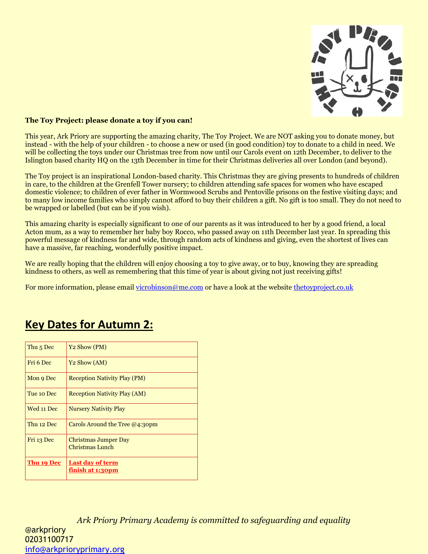

#### **The Toy Project: please donate a toy if you can!**

This year, Ark Priory are supporting the amazing charity, The Toy Project. We are NOT asking you to donate money, but instead - with the help of your children - to choose a new or used (in good condition) toy to donate to a child in need. We will be collecting the toys under our Christmas tree from now until our Carols event on 12th December, to deliver to the Islington based charity HQ on the 13th December in time for their Christmas deliveries all over London (and beyond).

The Toy project is an inspirational London-based charity. This Christmas they are giving presents to hundreds of children in care, to the children at the Grenfell Tower nursery; to children attending safe spaces for women who have escaped domestic violence; to children of ever father in Wormwood Scrubs and Pentoville prisons on the festive visiting days; and to many low income families who simply cannot afford to buy their children a gift. No gift is too small. They do not need to be wrapped or labelled (but can be if you wish).

This amazing charity is especially significant to one of our parents as it was introduced to her by a good friend, a local Acton mum, as a way to remember her baby boy Rocco, who passed away on 11th December last year. In spreading this powerful message of kindness far and wide, through random acts of kindness and giving, even the shortest of lives can have a massive, far reaching, wonderfully positive impact.

We are really hoping that the children will enjoy choosing a toy to give away, or to buy, knowing they are spreading kindness to others, as well as remembering that this time of year is about giving not just receiving gifts!

For more information, please emai[l vicrobinson@me.com](mailto:vicrobinson@me.com) or have a look at the website [thetoyproject.co.uk](http://thetoyproject.co.uk/)

| Thu <sub>5</sub> Dec | Y <sub>2</sub> Show (PM)                    |
|----------------------|---------------------------------------------|
| Fri 6 Dec            | Y <sub>2</sub> Show (AM)                    |
| Mon 9 Dec            | <b>Reception Nativity Play (PM)</b>         |
| Tue 10 Dec           | <b>Reception Nativity Play (AM)</b>         |
| Wed 11 Dec           | <b>Nursery Nativity Play</b>                |
| Thu 12 Dec           | Carols Around the Tree $@4:30$ pm           |
| Fri 13 Dec           | Christmas Jumper Day<br>Christmas Lunch     |
| Thu 19 Dec           | <b>Last day of term</b><br>finish at 1:30pm |

# **Key Dates for Autumn 2:**

*Ark Priory Primary Academy is committed to safeguarding and equality*  @arkpriory 02031100717 [info@arkprioryprimary.org](mailto:info@arkprioryprimary.org)